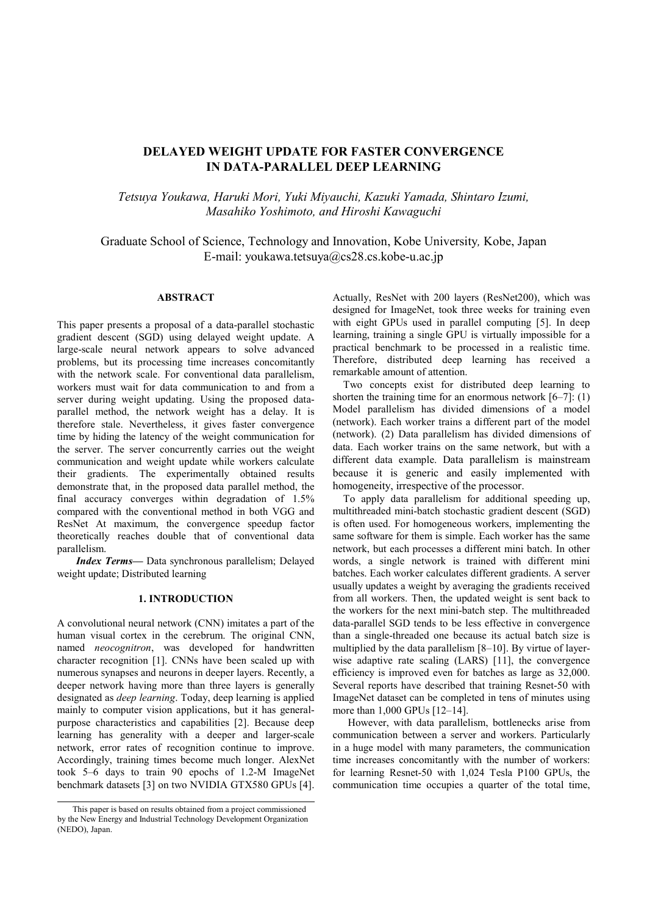# DELAYED WEIGHT UPDATE FOR FASTER CONVERGENCE IN DATA-PARALLEL DEEP LEARNING

Tetsuya Youkawa, Haruki Mori, Yuki Miyauchi, Kazuki Yamada, Shintaro Izumi, Masahiko Yoshimoto, and Hiroshi Kawaguchi

Graduate School of Science, Technology and Innovation, Kobe University, Kobe, Japan E-mail: youkawa.tetsuya@cs28.cs.kobe-u.ac.jp

# ABSTRACT

This paper presents a proposal of a data-parallel stochastic gradient descent (SGD) using delayed weight update. A large-scale neural network appears to solve advanced problems, but its processing time increases concomitantly with the network scale. For conventional data parallelism, workers must wait for data communication to and from a server during weight updating. Using the proposed dataparallel method, the network weight has a delay. It is therefore stale. Nevertheless, it gives faster convergence time by hiding the latency of the weight communication for the server. The server concurrently carries out the weight communication and weight update while workers calculate their gradients. The experimentally obtained results demonstrate that, in the proposed data parallel method, the final accuracy converges within degradation of 1.5% compared with the conventional method in both VGG and ResNet At maximum, the convergence speedup factor theoretically reaches double that of conventional data parallelism.

Index Terms— Data synchronous parallelism; Delayed weight update; Distributed learning

# 1. INTRODUCTION

A convolutional neural network (CNN) imitates a part of the human visual cortex in the cerebrum. The original CNN, named neocognitron, was developed for handwritten character recognition [1]. CNNs have been scaled up with numerous synapses and neurons in deeper layers. Recently, a deeper network having more than three layers is generally designated as deep learning. Today, deep learning is applied mainly to computer vision applications, but it has generalpurpose characteristics and capabilities [2]. Because deep learning has generality with a deeper and larger-scale network, error rates of recognition continue to improve. Accordingly, training times become much longer. AlexNet took 5–6 days to train 90 epochs of 1.2-M ImageNet benchmark datasets [3] on two NVIDIA GTX580 GPUs [4].

Actually, ResNet with 200 layers (ResNet200), which was designed for ImageNet, took three weeks for training even with eight GPUs used in parallel computing [5]. In deep learning, training a single GPU is virtually impossible for a practical benchmark to be processed in a realistic time. Therefore, distributed deep learning has received a remarkable amount of attention.

Two concepts exist for distributed deep learning to shorten the training time for an enormous network  $[6-7]$ : (1) Model parallelism has divided dimensions of a model (network). Each worker trains a different part of the model (network). (2) Data parallelism has divided dimensions of data. Each worker trains on the same network, but with a different data example. Data parallelism is mainstream because it is generic and easily implemented with homogeneity, irrespective of the processor.

To apply data parallelism for additional speeding up, multithreaded mini-batch stochastic gradient descent (SGD) is often used. For homogeneous workers, implementing the same software for them is simple. Each worker has the same network, but each processes a different mini batch. In other words, a single network is trained with different mini batches. Each worker calculates different gradients. A server usually updates a weight by averaging the gradients received from all workers. Then, the updated weight is sent back to the workers for the next mini-batch step. The multithreaded data-parallel SGD tends to be less effective in convergence than a single-threaded one because its actual batch size is multiplied by the data parallelism [8–10]. By virtue of layerwise adaptive rate scaling (LARS) [11], the convergence efficiency is improved even for batches as large as 32,000. Several reports have described that training Resnet-50 with ImageNet dataset can be completed in tens of minutes using more than 1,000 GPUs [12–14].

However, with data parallelism, bottlenecks arise from communication between a server and workers. Particularly in a huge model with many parameters, the communication time increases concomitantly with the number of workers: for learning Resnet-50 with 1,024 Tesla P100 GPUs, the communication time occupies a quarter of the total time,

This paper is based on results obtained from a project commissioned by the New Energy and Industrial Technology Development Organization (NEDO), Japan.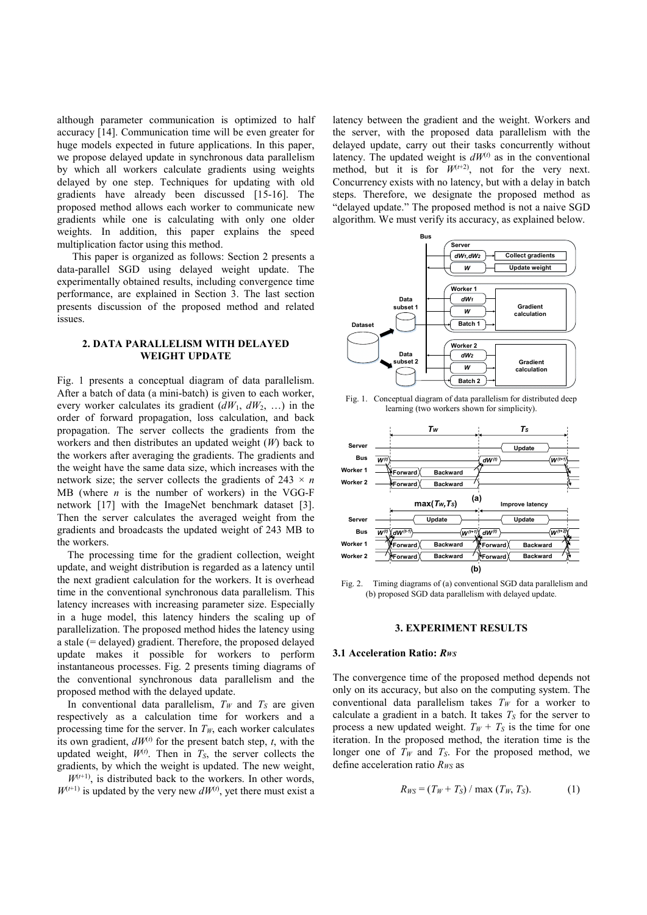although parameter communication is optimized to half accuracy [14]. Communication time will be even greater for huge models expected in future applications. In this paper, we propose delayed update in synchronous data parallelism by which all workers calculate gradients using weights delayed by one step. Techniques for updating with old gradients have already been discussed [15-16]. The proposed method allows each worker to communicate new gradients while one is calculating with only one older weights. In addition, this paper explains the speed multiplication factor using this method.

This paper is organized as follows: Section 2 presents a data-parallel SGD using delayed weight update. The experimentally obtained results, including convergence time performance, are explained in Section 3. The last section presents discussion of the proposed method and related issues.

# 2. DATA PARALLELISM WITH DELAYED WEIGHT UPDATE

Fig. 1 presents a conceptual diagram of data parallelism. After a batch of data (a mini-batch) is given to each worker, every worker calculates its gradient  $(dW_1, dW_2, ...)$  in the order of forward propagation, loss calculation, and back propagation. The server collects the gradients from the workers and then distributes an updated weight  $(W)$  back to the workers after averaging the gradients. The gradients and the weight have the same data size, which increases with the network size; the server collects the gradients of 243  $\times$  n MB (where  $n$  is the number of workers) in the VGG-F network [17] with the ImageNet benchmark dataset [3]. Then the server calculates the averaged weight from the gradients and broadcasts the updated weight of 243 MB to the workers.

The processing time for the gradient collection, weight update, and weight distribution is regarded as a latency until the next gradient calculation for the workers. It is overhead time in the conventional synchronous data parallelism. This latency increases with increasing parameter size. Especially in a huge model, this latency hinders the scaling up of parallelization. The proposed method hides the latency using a stale (= delayed) gradient. Therefore, the proposed delayed update makes it possible for workers to perform instantaneous processes. Fig. 2 presents timing diagrams of the conventional synchronous data parallelism and the proposed method with the delayed update.

In conventional data parallelism,  $T_W$  and  $T_S$  are given respectively as a calculation time for workers and a processing time for the server. In  $T_W$ , each worker calculates its own gradient,  $dW^{(t)}$  for the present batch step, t, with the updated weight,  $W^{(t)}$ . Then in  $T_S$ , the server collects the gradients, by which the weight is updated. The new weight,

 $W^{(t+1)}$ , is distributed back to the workers. In other words,  $W^{(t+1)}$  is updated by the very new  $dW^{(t)}$ , yet there must exist a latency between the gradient and the weight. Workers and the server, with the proposed data parallelism with the delayed update, carry out their tasks concurrently without latency. The updated weight is  $dW^{(t)}$  as in the conventional method, but it is for  $W^{(t+2)}$ , not for the very next. Concurrency exists with no latency, but with a delay in batch steps. Therefore, we designate the proposed method as "delayed update." The proposed method is not a naive SGD algorithm. We must verify its accuracy, as explained below.



Fig. 1. Conceptual diagram of data parallelism for distributed deep learning (two workers shown for simplicity).



Fig. 2. Timing diagrams of (a) conventional SGD data parallelism and (b) proposed SGD data parallelism with delayed update.

## 3. EXPERIMENT RESULTS

### 3.1 Acceleration Ratio: Rws

The convergence time of the proposed method depends not only on its accuracy, but also on the computing system. The conventional data parallelism takes  $T_W$  for a worker to calculate a gradient in a batch. It takes  $T<sub>S</sub>$  for the server to process a new updated weight.  $T_W + T_S$  is the time for one iteration. In the proposed method, the iteration time is the longer one of  $T_W$  and  $T_S$ . For the proposed method, we define acceleration ratio  $R_{WS}$  as

$$
R_{WS} = (T_W + T_S) / \max(T_W, T_S).
$$
 (1)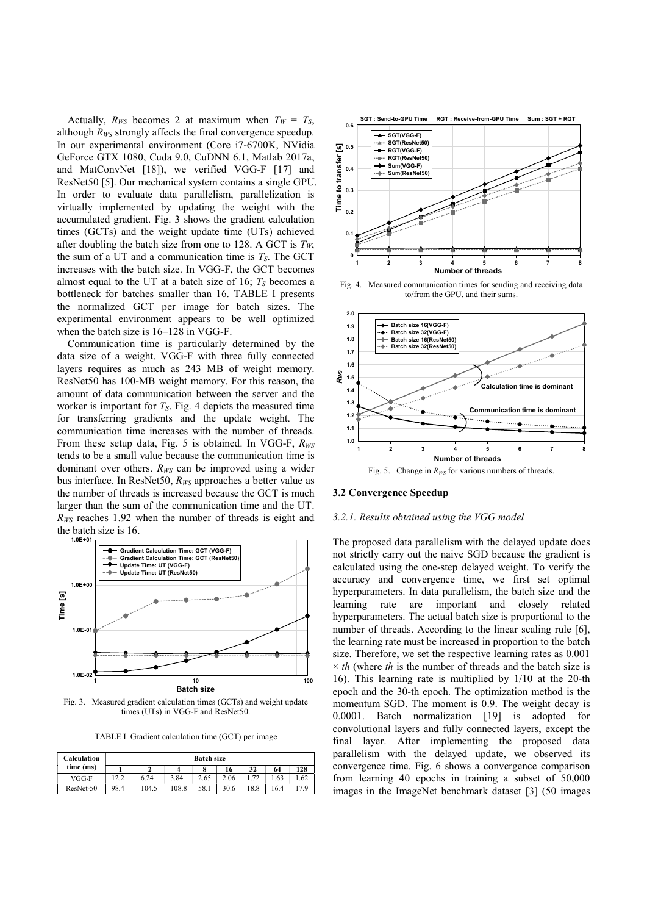Actually,  $R_{WS}$  becomes 2 at maximum when  $T_W = T_S$ , although  $R_{WS}$  strongly affects the final convergence speedup. In our experimental environment (Core i7-6700K, NVidia GeForce GTX 1080, Cuda 9.0, CuDNN 6.1, Matlab 2017a, and MatConvNet [18]), we verified VGG-F [17] and ResNet50 [5]. Our mechanical system contains a single GPU. In order to evaluate data parallelism, parallelization is virtually implemented by updating the weight with the accumulated gradient. Fig. 3 shows the gradient calculation times (GCTs) and the weight update time (UTs) achieved after doubling the batch size from one to 128. A GCT is  $T_w$ ; the sum of a UT and a communication time is  $T_S$ . The GCT increases with the batch size. In VGG-F, the GCT becomes almost equal to the UT at a batch size of 16;  $T_s$  becomes a bottleneck for batches smaller than 16. TABLE I presents the normalized GCT per image for batch sizes. The experimental environment appears to be well optimized when the batch size is 16–128 in VGG-F.

Communication time is particularly determined by the data size of a weight. VGG-F with three fully connected layers requires as much as 243 MB of weight memory. ResNet50 has 100-MB weight memory. For this reason, the amount of data communication between the server and the worker is important for  $T<sub>S</sub>$ . Fig. 4 depicts the measured time for transferring gradients and the update weight. The communication time increases with the number of threads. From these setup data, Fig. 5 is obtained. In VGG-F,  $R_{WS}$ tends to be a small value because the communication time is dominant over others.  $R_{WS}$  can be improved using a wider bus interface. In ResNet50,  $R_{WS}$  approaches a better value as the number of threads is increased because the GCT is much larger than the sum of the communication time and the UT.  $R_{WS}$  reaches 1.92 when the number of threads is eight and the batch size is 16.



Fig. 3. Measured gradient calculation times (GCTs) and weight update times (UTs) in VGG-F and ResNet50.

TABLE I Gradient calculation time (GCT) per image

| Calculation | <b>Batch size</b> |       |       |      |      |      |      |      |
|-------------|-------------------|-------|-------|------|------|------|------|------|
| time (ms)   |                   |       |       |      | 16   | 32   | 64   | 128  |
| VGG-F       | 12.2              | 6.24  | 3.84  | 2.65 | 2.06 |      | .63  | 1.62 |
| ResNet-50   | 98.4              | 104.5 | 108.8 | 58.1 | 30.6 | 18.8 | 16.4 | 7.9  |



Fig. 4. Measured communication times for sending and receiving data to/from the GPU, and their sums.



#### 3.2 Convergence Speedup

## 3.2.1. Results obtained using the VGG model

Batch size epoch and the 30-th epoch. The optimization method is the Using gradient calculation times SCFI and the united verigin that see small value because the communication time is controlled by the annual value because the communication time is controlled by the small value because th The proposed data parallelism with the delayed update does not strictly carry out the naive SGD because the gradient is calculated using the one-step delayed weight. To verify the accuracy and convergence time, we first set optimal hyperparameters. In data parallelism, the batch size and the learning rate are important and closely related hyperparameters. The actual batch size is proportional to the number of threads. According to the linear scaling rule [6], the learning rate must be increased in proportion to the batch size. Therefore, we set the respective learning rates as 0.001  $\times$  th (where th is the number of threads and the batch size is 16). This learning rate is multiplied by 1/10 at the 20-th momentum SGD. The moment is 0.9. The weight decay is 0.0001. Batch normalization [19] is adopted for convolutional layers and fully connected layers, except the final layer. After implementing the proposed data parallelism with the delayed update, we observed its convergence time. Fig. 6 shows a convergence comparison from learning 40 epochs in training a subset of 50,000 images in the ImageNet benchmark dataset [3] (50 images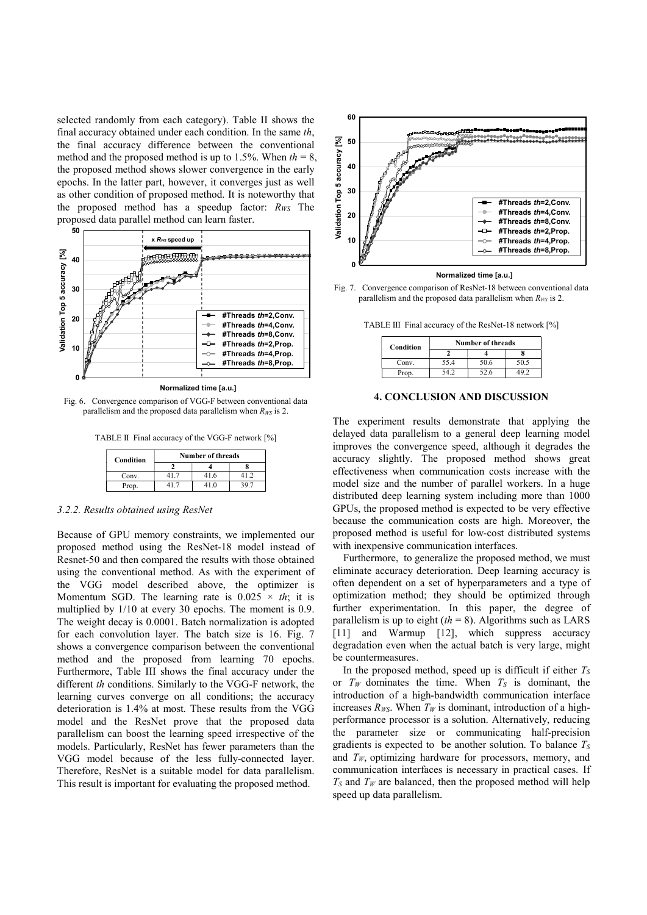selected randomly from each category). Table II shows the final accuracy obtained under each condition. In the same th, the final accuracy difference between the conventional method and the proposed method is up to 1.5%. When  $th = 8$ , the proposed method shows slower convergence in the early epochs. In the latter part, however, it converges just as well as other condition of proposed method. It is noteworthy that the proposed method has a speedup factor:  $R_{WS}$  The proposed data parallel method can learn faster. sed method is up to 1.5%. When  $th = 8$ ,<br>shows slower convergence in the early<br>shows slower convergence in the early<br>art, however, it converges just as well<br>proposed method. It is noteworthy that<br>d has a speedup factor:  $R_{$ 



Fig. 6. Convergence comparison of VGG-F between conventional data parallelism and the proposed data parallelism when  $R_{WS}$  is 2.

TABLE II Final accuracy of the VGG-F network [%]

| Condition | <b>Number of threads</b> |      |      |  |  |  |
|-----------|--------------------------|------|------|--|--|--|
|           |                          |      |      |  |  |  |
| Conv.     | 417                      | 41.6 | 41 J |  |  |  |
| Prop.     |                          | 41.0 |      |  |  |  |

#### 3.2.2. Results obtained using ResNet

Because of GPU memory constraints, we implemented our proposed method using the ResNet-18 model instead of Resnet-50 and then compared the results with those obtained using the conventional method. As with the experiment of the VGG model described above, the optimizer is Momentum SGD. The learning rate is  $0.025 \times th$ ; it is multiplied by 1/10 at every 30 epochs. The moment is 0.9. The weight decay is 0.0001. Batch normalization is adopted for each convolution layer. The batch size is 16. Fig. 7 shows a convergence comparison between the conventional method and the proposed from learning 70 epochs. Furthermore, Table III shows the final accuracy under the different th conditions. Similarly to the VGG-F network, the learning curves converge on all conditions; the accuracy deterioration is 1.4% at most. These results from the VGG model and the ResNet prove that the proposed data parallelism can boost the learning speed irrespective of the models. Particularly, ResNet has fewer parameters than the VGG model because of the less fully-connected layer. Therefore, ResNet is a suitable model for data parallelism. This result is important for evaluating the proposed method.



Fig. 7. Convergence comparison of ResNet-18 between conventional data parallelism and the proposed data parallelism when  $R_{WS}$  is 2.

TABLE III Final accuracy of the ResNet-18 network [%]

| Condition | <b>Number of threads</b> |      |      |  |  |  |
|-----------|--------------------------|------|------|--|--|--|
|           |                          |      |      |  |  |  |
| Conv.     | 55.4                     | 50.6 | 50.5 |  |  |  |
| Prop.     |                          | 52.6 |      |  |  |  |

#### 4. CONCLUSION AND DISCUSSION

The experiment results demonstrate that applying the delayed data parallelism to a general deep learning model improves the convergence speed, although it degrades the accuracy slightly. The proposed method shows great effectiveness when communication costs increase with the model size and the number of parallel workers. In a huge distributed deep learning system including more than 1000 GPUs, the proposed method is expected to be very effective because the communication costs are high. Moreover, the proposed method is useful for low-cost distributed systems with inexpensive communication interfaces.

Furthermore, to generalize the proposed method, we must eliminate accuracy deterioration. Deep learning accuracy is often dependent on a set of hyperparameters and a type of optimization method; they should be optimized through further experimentation. In this paper, the degree of parallelism is up to eight  $(th = 8)$ . Algorithms such as LARS [11] and Warmup [12], which suppress accuracy degradation even when the actual batch is very large, might be countermeasures.

In the proposed method, speed up is difficult if either  $T<sub>S</sub>$ or  $T_W$  dominates the time. When  $T_S$  is dominant, the introduction of a high-bandwidth communication interface increases  $R_{WS}$ . When  $T_W$  is dominant, introduction of a highperformance processor is a solution. Alternatively, reducing the parameter size or communicating half-precision gradients is expected to be another solution. To balance  $T<sub>S</sub>$ and  $T_W$ , optimizing hardware for processors, memory, and communication interfaces is necessary in practical cases. If  $T<sub>S</sub>$  and  $T<sub>W</sub>$  are balanced, then the proposed method will help speed up data parallelism.